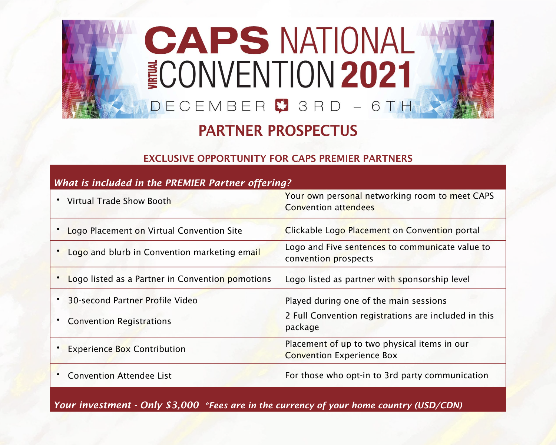## **CAPS NATIONAL ECONVENTION 2021** DECEMBER 3 RD - 6 TH

## PARTNER PROSPECTUS

### EXCLUSIVE OPPORTUNITY FOR CAPS PREMIER PARTNERS

| What is included in the PREMIER Partner offering? |                                                                                  |  |  |
|---------------------------------------------------|----------------------------------------------------------------------------------|--|--|
| • Virtual Trade Show Booth                        | Your own personal networking room to meet CAPS<br><b>Convention attendees</b>    |  |  |
| • Logo Placement on Virtual Convention Site       | Clickable Logo Placement on Convention portal                                    |  |  |
| Logo and blurb in Convention marketing email      | Logo and Five sentences to communicate value to<br>convention prospects          |  |  |
| Logo listed as a Partner in Convention pomotions  | Logo listed as partner with sponsorship level                                    |  |  |
| 30-second Partner Profile Video                   | Played during one of the main sessions                                           |  |  |
| <b>Convention Registrations</b>                   | 2 Full Convention registrations are included in this<br>package                  |  |  |
| <b>Experience Box Contribution</b>                | Placement of up to two physical items in our<br><b>Convention Experience Box</b> |  |  |
| <b>Convention Attendee List</b>                   | For those who opt-in to 3rd party communication                                  |  |  |

*Your investment - Only \$3,000 \*Fees are in the currency of your home country (USD/CDN)*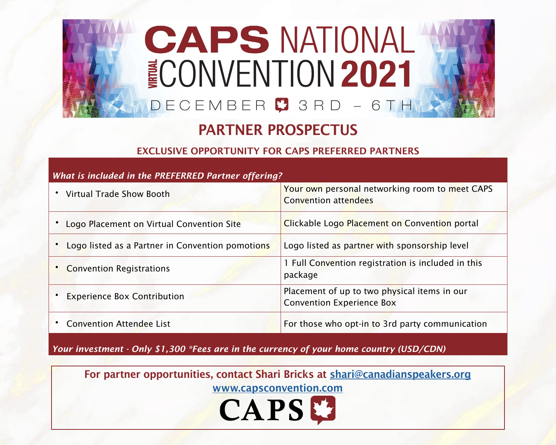## **CAPS NATIONAL NONVENTION 2021** DECEMBER<sup>9</sup> 3 R D -6 T H

## PARTNER PROSPECTUS

#### EXCLUSIVE OPPORTUNITY FOR CAPS PREFERRED PARTNERS

## • Virtual Trade Show Booth Your own personal networking room to meet CAPS Convention attendees • Logo Placement on Virtual Convention Site Clickable Logo Placement on Convention portal • Logo listed as a Partner in Convention pomotions Logo listed as partner with sponsorship level • Convention Registrations **1 Full Convention registration is included in this** package **Experience Box Contribution** Placement of up to two physical items in our Convention Experience Box • Convention Attendee List For those who opt-in to 3rd party communication

*What is included in the PREFERRED Partner offering?*

*Your investment - Only \$1,300 \*Fees are in the currency of your home country (USD/CDN)*

For partner opportunities, contact Shari Bricks at [shari@canadianspeakers.org](mailto:shari%40canadianspeakers.org?subject=)

[www.capsconvention.com](http://www.capsconvention.com)

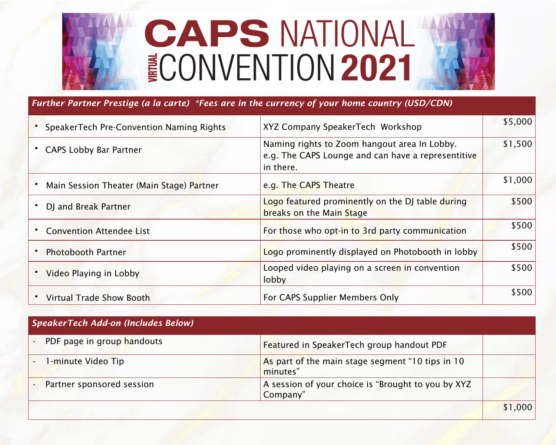# **CAPS NATIONAL ECONVENTION 2021**

#### *Further Partner Prestige (a la carte) \*Fees are in the currency of your home country (USD/CDN)*

| SpeakerTech Pre-Convention Naming Rights  | XYZ Company SpeakerTech Workshop                                                                                | \$5,000 |
|-------------------------------------------|-----------------------------------------------------------------------------------------------------------------|---------|
| <b>CAPS Lobby Bar Partner</b>             | Naming rights to Zoom hangout area In Lobby.<br>e.g. The CAPS Lounge and can have a representitive<br>in there. | \$1,500 |
| Main Session Theater (Main Stage) Partner | e.g. The CAPS Theatre                                                                                           | \$1,000 |
| DJ and Break Partner                      | Logo featured prominently on the DJ table during<br>breaks on the Main Stage                                    | \$500   |
| <b>Convention Attendee List</b>           | For those who opt-in to 3rd party communication                                                                 | \$500   |
| <b>Photobooth Partner</b>                 | Logo prominently displayed on Photobooth in lobby                                                               | \$500   |
| Video Playing in Lobby                    | Looped video playing on a screen in convention<br>lobby                                                         | \$500   |
| <b>Virtual Trade Show Booth</b>           | For CAPS Supplier Members Only                                                                                  | \$500   |

| SpeakerTech Add-on (Includes Below) |                                                                |         |
|-------------------------------------|----------------------------------------------------------------|---------|
| PDF page in group handouts          | Featured in SpeakerTech group handout PDF                      |         |
| 1-minute Video Tip                  | As part of the main stage segment "10 tips in 10<br>minutes"   |         |
| Partner sponsored session           | A session of your choice is "Brought to you by XYZ<br>Company" |         |
|                                     |                                                                | \$1,000 |